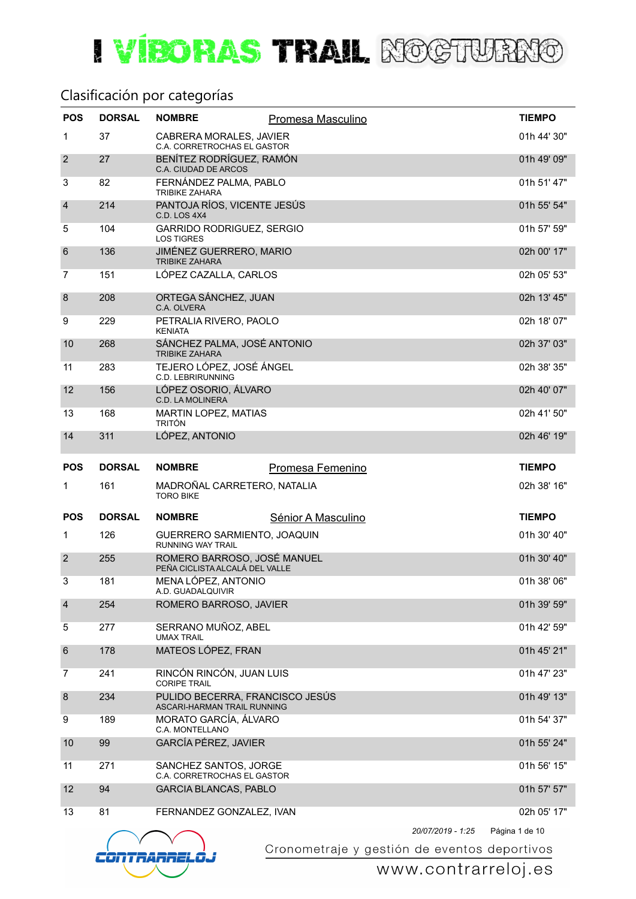#### Clasificación por categorías

| <b>POS</b>       | <b>DORSAL</b> | <b>NOMBRE</b>                                                  | Promesa Masculino                            | <b>TIEMPO</b>  |
|------------------|---------------|----------------------------------------------------------------|----------------------------------------------|----------------|
| 1                | 37            | CABRERA MORALES, JAVIER<br>C.A. CORRETROCHAS EL GASTOR         |                                              | 01h 44' 30"    |
| $\overline{2}$   | 27            | BENÍTEZ RODRÍGUEZ, RAMÓN<br>C.A. CIUDAD DE ARCOS               |                                              | 01h 49' 09"    |
| 3                | 82            | FERNÁNDEZ PALMA, PABLO<br><b>TRIBIKE ZAHARA</b>                |                                              | 01h 51' 47"    |
| $\overline{4}$   | 214           | PANTOJA RÍOS, VICENTE JESÚS<br>C.D. LOS 4X4                    |                                              | 01h 55' 54"    |
| 5                | 104           | GARRIDO RODRIGUEZ, SERGIO<br><b>LOS TIGRES</b>                 |                                              | 01h 57' 59"    |
| $6\phantom{1}6$  | 136           | JIMÉNEZ GUERRERO, MARIO<br><b>TRIBIKE ZAHARA</b>               |                                              | 02h 00' 17"    |
| 7                | 151           | LÓPEZ CAZALLA, CARLOS                                          |                                              | 02h 05' 53"    |
| $\boldsymbol{8}$ | 208           | ORTEGA SÁNCHEZ, JUAN<br>C.A. OLVERA                            |                                              | 02h 13' 45"    |
| 9                | 229           | PETRALIA RIVERO, PAOLO<br><b>KENIATA</b>                       |                                              | 02h 18' 07"    |
| 10               | 268           | SÁNCHEZ PALMA, JOSÉ ANTONIO<br><b>TRIBIKE ZAHARA</b>           |                                              | 02h 37' 03"    |
| 11               | 283           | TEJERO LÓPEZ, JOSÉ ÁNGEL<br><b>C.D. LEBRIRUNNING</b>           |                                              | 02h 38' 35"    |
| 12               | 156           | LÓPEZ OSORIO, ÁLVARO<br><b>C.D. LA MOLINERA</b>                |                                              | 02h 40' 07"    |
| 13               | 168           | MARTIN LOPEZ, MATIAS<br><b>TRITÓN</b>                          |                                              | 02h 41' 50"    |
| 14               | 311           | LÓPEZ, ANTONIO                                                 |                                              | 02h 46' 19"    |
| <b>POS</b>       | <b>DORSAL</b> | <b>NOMBRE</b>                                                  | Promesa Femenino                             | <b>TIEMPO</b>  |
| $\mathbf 1$      | 161           | MADROÑAL CARRETERO, NATALIA<br><b>TORO BIKE</b>                |                                              | 02h 38' 16"    |
| <b>POS</b>       | <b>DORSAL</b> | <b>NOMBRE</b>                                                  | Sénior A Masculino                           | <b>TIEMPO</b>  |
| 1                | 126           | GUERRERO SARMIENTO, JOAQUIN<br><b>RUNNING WAY TRAIL</b>        |                                              | 01h 30' 40"    |
| $\overline{2}$   | 255           | ROMERO BARROSO, JOSÉ MANUEL<br>PEÑA CICLISTA ALCALÁ DEL VALLE  |                                              | 01h 30' 40"    |
| 3                | 181           | MENA LÓPEZ, ANTONIO<br>A.D. GUADALQUIVIR                       |                                              | 01h 38' 06"    |
| $\overline{4}$   | 254           | ROMERO BARROSO, JAVIER                                         |                                              | 01h 39' 59"    |
| 5                | 277           | SERRANO MUÑOZ, ABEL<br><b>UMAX TRAIL</b>                       |                                              | 01h 42' 59"    |
| $6\phantom{1}6$  | 178           | MATEOS LÓPEZ, FRAN                                             |                                              | 01h 45' 21"    |
| 7                | 241           | RINCÓN RINCÓN, JUAN LUIS<br><b>CORIPE TRAIL</b>                |                                              | 01h 47' 23"    |
| 8                | 234           | PULIDO BECERRA, FRANCISCO JESÚS<br>ASCARI-HARMAN TRAIL RUNNING |                                              | 01h 49' 13"    |
| 9                | 189           | MORATO GARCÍA, ÁLVARO<br>C.A. MONTELLANO                       |                                              | 01h 54' 37"    |
| 10               | 99            | GARCÍA PÉREZ, JAVIER                                           |                                              | 01h 55' 24"    |
| 11               | 271           | SANCHEZ SANTOS, JORGE<br>C.A. CORRETROCHAS EL GASTOR           |                                              | 01h 56' 15"    |
| 12               | 94            | <b>GARCIA BLANCAS, PABLO</b>                                   |                                              | 01h 57' 57"    |
| 13               | 81            | FERNANDEZ GONZALEZ, IVAN                                       |                                              | 02h 05' 17"    |
|                  |               |                                                                | 20/07/2019 - 1:25                            | Página 1 de 10 |
|                  |               |                                                                | Cronometraje y gestión de eventos deportivos |                |

estión de eventos deportivos<br>WWW.CONtrarreloj.es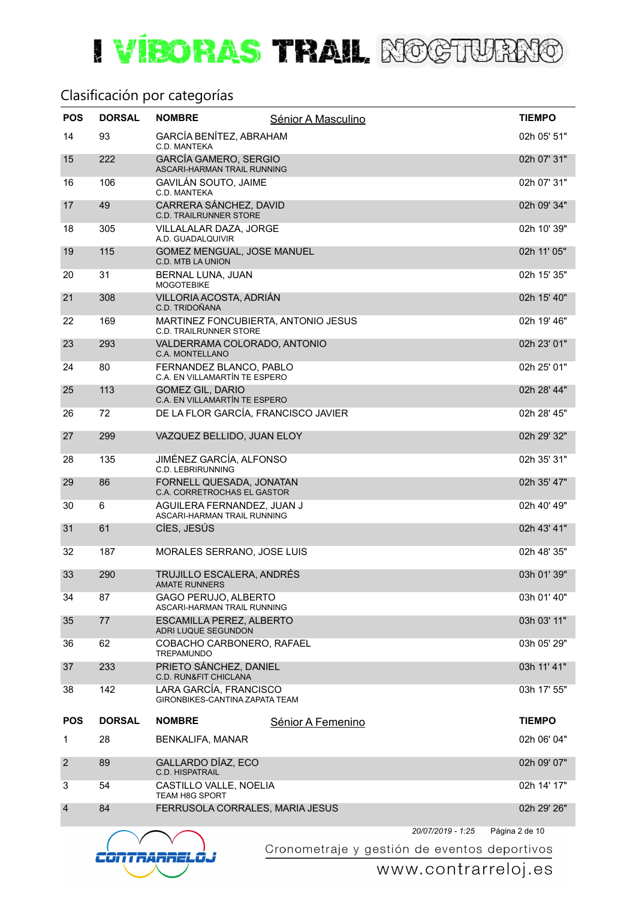#### Clasificación por categorías

| <b>POS</b>     | <b>DORSAL</b> | <b>NOMBRE</b>                                                        | Sénior A Masculino |                   | <b>TIEMPO</b>  |
|----------------|---------------|----------------------------------------------------------------------|--------------------|-------------------|----------------|
| 14             | 93            | GARCÍA BENÍTEZ, ABRAHAM<br>C.D. MANTEKA                              |                    |                   | 02h 05' 51"    |
| 15             | 222           | <b>GARCÍA GAMERO, SERGIO</b><br>ASCARI-HARMAN TRAIL RUNNING          |                    |                   | 02h 07' 31"    |
| 16             | 106           | <b>GAVILÁN SOUTO, JAIME</b><br>C.D. MANTEKA                          |                    |                   | 02h 07' 31"    |
| 17             | 49            | CARRERA SÁNCHEZ, DAVID<br><b>C.D. TRAILRUNNER STORE</b>              |                    |                   | 02h 09' 34"    |
| 18             | 305           | VILLALALAR DAZA, JORGE<br>A.D. GUADALQUIVIR                          |                    |                   | 02h 10' 39"    |
| 19             | 115           | GOMEZ MENGUAL, JOSE MANUEL<br><b>C.D. MTB LA UNION</b>               |                    |                   | 02h 11' 05"    |
| 20             | 31            | BERNAL LUNA, JUAN<br><b>MOGOTEBIKE</b>                               |                    |                   | 02h 15' 35"    |
| 21             | 308           | VILLORIA ACOSTA, ADRIÁN<br>C.D. TRIDOÑANA                            |                    |                   | 02h 15' 40"    |
| 22             | 169           | MARTINEZ FONCUBIERTA, ANTONIO JESUS<br><b>C.D. TRAILRUNNER STORE</b> |                    |                   | 02h 19' 46"    |
| 23             | 293           | VALDERRAMA COLORADO, ANTONIO<br><b>C.A. MONTELLANO</b>               |                    |                   | 02h 23' 01"    |
| 24             | 80            | FERNANDEZ BLANCO, PABLO<br>C.A. EN VILLAMARTÍN TE ESPERO             |                    |                   | 02h 25' 01"    |
| 25             | 113           | <b>GOMEZ GIL, DARIO</b><br>C.A. EN VILLAMARTÍN TE ESPERO             |                    |                   | 02h 28' 44"    |
| 26             | 72            | DE LA FLOR GARCÍA, FRANCISCO JAVIER                                  |                    |                   | 02h 28' 45"    |
| 27             | 299           | VAZQUEZ BELLIDO, JUAN ELOY                                           |                    |                   | 02h 29' 32"    |
| 28             | 135           | JIMÉNEZ GARCÍA, ALFONSO<br><b>C.D. LEBRIRUNNING</b>                  |                    |                   | 02h 35' 31"    |
| 29             | 86            | FORNELL QUESADA, JONATAN<br>C.A. CORRETROCHAS EL GASTOR              |                    |                   | 02h 35' 47"    |
| 30             | 6             | AGUILERA FERNANDEZ, JUAN J<br>ASCARI-HARMAN TRAIL RUNNING            |                    |                   | 02h 40' 49"    |
| 31             | 61            | CÍES, JESÚS                                                          |                    |                   | 02h 43' 41"    |
| 32             | 187           | MORALES SERRANO, JOSE LUIS                                           |                    |                   | 02h 48' 35"    |
| 33             | 290           | TRUJILLO ESCALERA, ANDRÉS<br><b>AMATE RUNNERS</b>                    |                    |                   | 03h 01' 39"    |
| 34             | 87            | <b>GAGO PERUJO, ALBERTO</b><br>ASCARI-HARMAN TRAIL RUNNING           |                    |                   | 03h 01' 40"    |
| 35             | 77            | ESCAMILLA PEREZ, ALBERTO<br>ADRI LUQUE SEGUNDON                      |                    |                   | 03h 03' 11"    |
| 36             | 62            | COBACHO CARBONERO, RAFAEL<br><b>TREPAMUNDO</b>                       |                    |                   | 03h 05' 29"    |
| 37             | 233           | PRIETO SÁNCHEZ, DANIEL<br>C.D. RUN&FIT CHICLANA                      |                    |                   | 03h 11' 41"    |
| 38             | 142           | LARA GARCÍA, FRANCISCO<br>GIRONBIKES-CANTINA ZAPATA TEAM             |                    |                   | 03h 17' 55"    |
| <b>POS</b>     | <b>DORSAL</b> | <b>NOMBRE</b>                                                        | Sénior A Femenino  |                   | <b>TIEMPO</b>  |
| 1              | 28            | <b>BENKALIFA, MANAR</b>                                              |                    |                   | 02h 06' 04"    |
| $\overline{2}$ | 89            | GALLARDO DÍAZ, ECO<br>C.D. HISPATRAIL                                |                    |                   | 02h 09' 07"    |
| 3              | 54            | CASTILLO VALLE, NOELIA<br><b>TEAM H8G SPORT</b>                      |                    |                   | 02h 14' 17"    |
| $\overline{4}$ | 84            | FERRUSOLA CORRALES, MARIA JESUS                                      |                    |                   | 02h 29' 26"    |
|                |               |                                                                      |                    | 20/07/2019 - 1:25 | Página 2 de 10 |



Cronometraje y gestión de eventos deportivos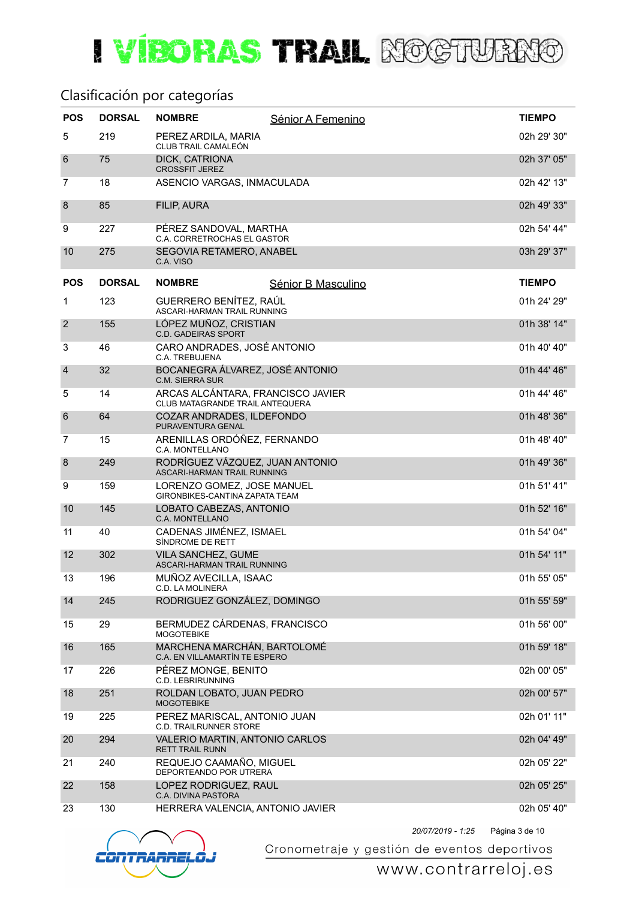# I VIBORAS TRAIL ROCTURRIO

#### Clasificación por categorías

| <b>POS</b>      | <b>DORSAL</b> | <b>NOMBRE</b>                                                               | Sénior A Femenino  | <b>TIEMPO</b> |
|-----------------|---------------|-----------------------------------------------------------------------------|--------------------|---------------|
| 5               | 219           | PEREZ ARDILA, MARIA<br>CLUB TRAIL CAMALEÓN                                  |                    | 02h 29' 30"   |
| $6\phantom{1}6$ | 75            | DICK, CATRIONA<br><b>CROSSFIT JEREZ</b>                                     |                    | 02h 37' 05"   |
| $\overline{7}$  | 18            | ASENCIO VARGAS, INMACULADA                                                  |                    | 02h 42' 13"   |
| 8               | 85            | FILIP, AURA                                                                 |                    | 02h 49' 33"   |
| 9               | 227           | PÉREZ SANDOVAL, MARTHA<br>C.A. CORRETROCHAS EL GASTOR                       |                    | 02h 54' 44"   |
| 10              | 275           | SEGOVIA RETAMERO, ANABEL<br>C.A. VISO                                       |                    | 03h 29' 37"   |
| <b>POS</b>      | <b>DORSAL</b> | <b>NOMBRE</b>                                                               | Sénior B Masculino | <b>TIEMPO</b> |
| $\mathbf{1}$    | 123           | GUERRERO BENÍTEZ, RAÚL<br>ASCARI-HARMAN TRAIL RUNNING                       |                    | 01h 24' 29"   |
| $\overline{2}$  | 155           | LÓPEZ MUÑOZ, CRISTIAN<br><b>C.D. GADEIRAS SPORT</b>                         |                    | 01h 38' 14"   |
| 3               | 46            | CARO ANDRADES, JOSÉ ANTONIO<br>C.A. TREBUJENA                               |                    | 01h 40' 40"   |
| $\overline{4}$  | 32            | BOCANEGRA ÁLVAREZ, JOSÉ ANTONIO<br>C.M. SIERRA SUR                          |                    | 01h 44' 46"   |
| 5               | 14            | ARCAS ALCÁNTARA, FRANCISCO JAVIER<br><b>CLUB MATAGRANDE TRAIL ANTEQUERA</b> |                    | 01h 44' 46"   |
| 6               | 64            | COZAR ANDRADES, ILDEFONDO<br>PURAVENTURA GENAL                              |                    | 01h 48' 36"   |
| 7               | 15            | ARENILLAS ORDÓÑEZ, FERNANDO<br>C.A. MONTELLANO                              |                    | 01h 48' 40"   |
| 8               | 249           | RODRÍGUEZ VÁZQUEZ, JUAN ANTONIO<br>ASCARI-HARMAN TRAIL RUNNING              |                    | 01h 49' 36"   |
| 9               | 159           | LORENZO GOMEZ, JOSE MANUEL<br>GIRONBIKES-CANTINA ZAPATA TEAM                |                    | 01h 51' 41"   |
| 10              | 145           | LOBATO CABEZAS, ANTONIO<br>C.A. MONTELLANO                                  |                    | 01h 52' 16"   |
| 11              | 40            | CADENAS JIMÉNEZ, ISMAEL<br>SÍNDROME DE RETT                                 |                    | 01h 54' 04"   |
| 12              | 302           | VILA SANCHEZ, GUME<br><b>ASCARI-HARMAN TRAIL RUNNING</b>                    |                    | 01h 54' 11"   |
| 13              | 196           | MUÑOZ AVECILLA, ISAAC<br>C.D. LA MOLINERA                                   |                    | 01h 55' 05"   |
| 14              | 245           | RODRIGUEZ GONZÁLEZ, DOMINGO                                                 |                    | 01h 55' 59"   |
| 15              | 29            | BERMUDEZ CÁRDENAS, FRANCISCO<br><b>MOGOTEBIKE</b>                           |                    | 01h 56' 00"   |
| 16              | 165           | MARCHENA MARCHÁN, BARTOLOMÉ<br>C.A. EN VILLAMARTÍN TE ESPERO                |                    | 01h 59' 18"   |
| 17              | 226           | PÉREZ MONGE, BENITO<br><b>C.D. LEBRIRUNNING</b>                             |                    | 02h 00' 05"   |
| 18              | 251           | ROLDAN LOBATO, JUAN PEDRO<br><b>MOGOTEBIKE</b>                              |                    | 02h 00' 57"   |
| 19              | 225           | PEREZ MARISCAL, ANTONIO JUAN<br><b>C.D. TRAILRUNNER STORE</b>               |                    | 02h 01' 11"   |
| 20              | 294           | VALERIO MARTIN, ANTONIO CARLOS<br><b>RETT TRAIL RUNN</b>                    |                    | 02h 04' 49"   |
| 21              | 240           | REQUEJO CAAMAÑO, MIGUEL<br>DEPORTEANDO POR UTRERA                           |                    | 02h 05' 22"   |
| 22              | 158           | LOPEZ RODRIGUEZ, RAUL<br>C.A. DIVINA PASTORA                                |                    | 02h 05' 25"   |
| 23              | 130           | HERRERA VALENCIA, ANTONIO JAVIER                                            |                    | 02h 05' 40"   |



Cronometraje y gestión de eventos deportivos

### www.contrarreloj.es

Página 3 de 10 *20/07/2019 - 1:25*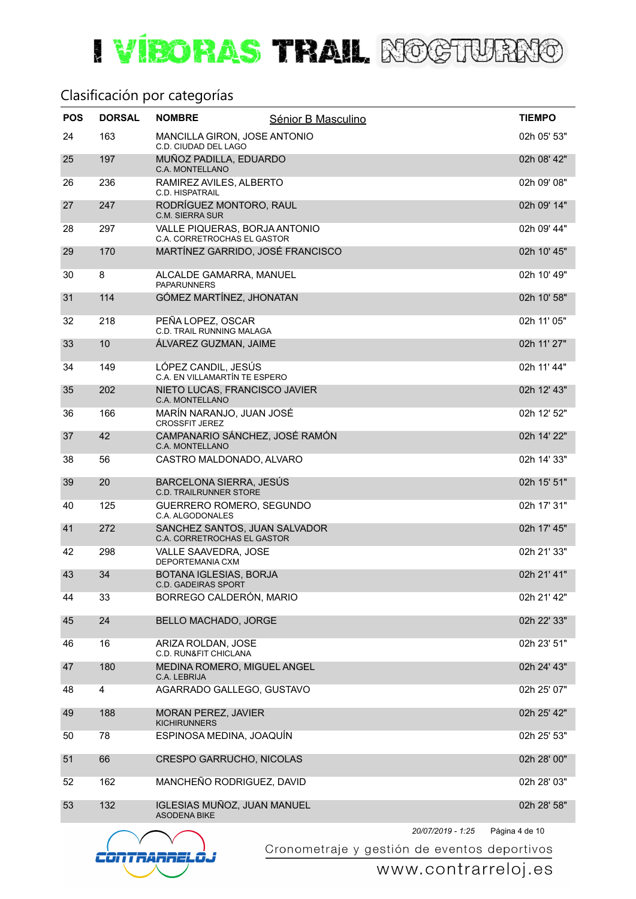#### Clasificación por categorías

| <b>POS</b> | <b>DORSAL</b> | <b>NOMBRE</b>                                                | Sénior B Masculino |                   | <b>TIEMPO</b>  |
|------------|---------------|--------------------------------------------------------------|--------------------|-------------------|----------------|
| 24         | 163           | MANCILLA GIRON, JOSE ANTONIO<br>C.D. CIUDAD DEL LAGO         |                    |                   | 02h 05' 53"    |
| 25         | 197           | MUÑOZ PADILLA, EDUARDO<br>C.A. MONTELLANO                    |                    |                   | 02h 08' 42"    |
| 26         | 236           | RAMIREZ AVILES, ALBERTO<br>C.D. HISPATRAIL                   |                    |                   | 02h 09' 08"    |
| 27         | 247           | RODRÍGUEZ MONTORO, RAUL<br><b>C.M. SIERRA SUR</b>            |                    |                   | 02h 09' 14"    |
| 28         | 297           | VALLE PIQUERAS, BORJA ANTONIO<br>C.A. CORRETROCHAS EL GASTOR |                    |                   | 02h 09' 44"    |
| 29         | 170           | MARTÍNEZ GARRIDO, JOSÉ FRANCISCO                             |                    |                   | 02h 10' 45"    |
| 30         | 8             | ALCALDE GAMARRA, MANUEL<br><b>PAPARUNNERS</b>                |                    |                   | 02h 10' 49"    |
| 31         | 114           | GÓMEZ MARTÍNEZ, JHONATAN                                     |                    |                   | 02h 10' 58"    |
| 32         | 218           | PEÑA LOPEZ, OSCAR<br><b>C.D. TRAIL RUNNING MALAGA</b>        |                    |                   | 02h 11' 05"    |
| 33         | 10            | ÁLVAREZ GUZMAN, JAIME                                        |                    |                   | 02h 11' 27"    |
| 34         | 149           | LÓPEZ CANDIL, JESÚS<br>C.A. EN VILLAMARTÍN TE ESPERO         |                    |                   | 02h 11' 44"    |
| 35         | 202           | NIETO LUCAS, FRANCISCO JAVIER<br>C.A. MONTELLANO             |                    |                   | 02h 12' 43"    |
| 36         | 166           | MARÍN NARANJO, JUAN JOSÉ<br><b>CROSSFIT JEREZ</b>            |                    |                   | 02h 12' 52"    |
| 37         | 42            | CAMPANARIO SÁNCHEZ, JOSÉ RAMÓN<br>C.A. MONTELLANO            |                    |                   | 02h 14' 22"    |
| 38         | 56            | CASTRO MALDONADO, ALVARO                                     |                    |                   | 02h 14' 33"    |
| 39         | 20            | BARCELONA SIERRA, JESÚS<br><b>C.D. TRAILRUNNER STORE</b>     |                    |                   | 02h 15' 51"    |
| 40         | 125           | GUERRERO ROMERO, SEGUNDO<br>C.A. ALGODONALES                 |                    |                   | 02h 17' 31"    |
| 41         | 272           | SANCHEZ SANTOS, JUAN SALVADOR<br>C.A. CORRETROCHAS EL GASTOR |                    |                   | 02h 17' 45"    |
| 42         | 298           | <b>VALLE SAAVEDRA, JOSE</b><br>DEPORTEMANIA CXM              |                    |                   | 02h 21' 33"    |
| 43         | 34            | <b>BOTANA IGLESIAS, BORJA</b><br><b>C.D. GADEIRAS SPORT</b>  |                    |                   | 02h 21' 41"    |
| 44         | 33            | BORREGO CALDERÓN, MARIO                                      |                    |                   | 02h 21' 42"    |
| 45         | 24            | BELLO MACHADO, JORGE                                         |                    |                   | 02h 22' 33"    |
| 46         | 16            | ARIZA ROLDAN, JOSE<br>C.D. RUN&FIT CHICLANA                  |                    |                   | 02h 23' 51"    |
| 47         | 180           | MEDINA ROMERO, MIGUEL ANGEL<br>C.A. LEBRIJA                  |                    |                   | 02h 24' 43"    |
| 48         | 4             | AGARRADO GALLEGO, GUSTAVO                                    |                    |                   | 02h 25' 07"    |
| 49         | 188           | <b>MORAN PEREZ, JAVIER</b><br><b>KICHIRUNNERS</b>            |                    |                   | 02h 25' 42"    |
| 50         | 78            | ESPINOSA MEDINA, JOAQUÍN                                     |                    |                   | 02h 25' 53"    |
| 51         | 66            | CRESPO GARRUCHO, NICOLAS                                     |                    |                   | 02h 28' 00"    |
| 52         | 162           | MANCHEÑO RODRIGUEZ, DAVID                                    |                    |                   | 02h 28' 03"    |
| 53         | 132           | IGLESIAS MUÑOZ, JUAN MANUEL<br><b>ASODENA BIKE</b>           |                    |                   | 02h 28' 58"    |
|            |               |                                                              |                    | 20/07/2019 - 1:25 | Página 4 de 10 |



Cronometraje y gestión de eventos deportivos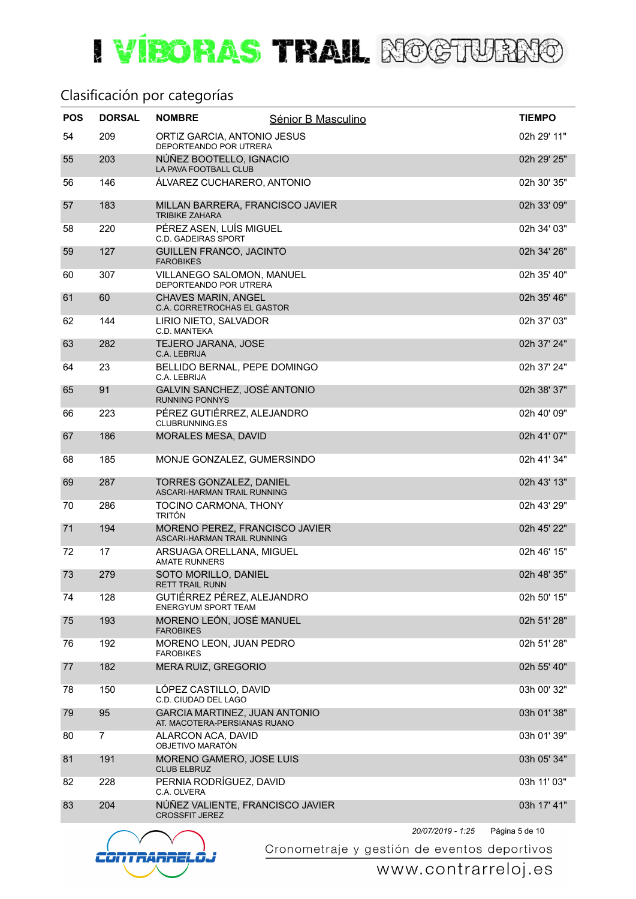#### Clasificación por categorías

| <b>POS</b> | <b>DORSAL</b>  | <b>NOMBRE</b>                                                        | Sénior B Masculino |                   | <b>TIEMPO</b>  |
|------------|----------------|----------------------------------------------------------------------|--------------------|-------------------|----------------|
| 54         | 209            | ORTIZ GARCIA, ANTONIO JESUS<br>DEPORTEANDO POR UTRERA                |                    |                   | 02h 29' 11"    |
| 55         | 203            | NÚÑEZ BOOTELLO, IGNACIO<br>LA PAVA FOOTBALL CLUB                     |                    |                   | 02h 29' 25"    |
| 56         | 146            | ÁLVAREZ CUCHARERO, ANTONIO                                           |                    |                   | 02h 30' 35"    |
| 57         | 183            | MILLAN BARRERA, FRANCISCO JAVIER<br><b>TRIBIKE ZAHARA</b>            |                    |                   | 02h 33' 09"    |
| 58         | 220            | PÉREZ ASEN, LUÍS MIGUEL<br><b>C.D. GADEIRAS SPORT</b>                |                    |                   | 02h 34' 03"    |
| 59         | 127            | GUILLEN FRANCO, JACINTO<br><b>FAROBIKES</b>                          |                    |                   | 02h 34' 26"    |
| 60         | 307            | VILLANEGO SALOMON, MANUEL<br>DEPORTEANDO POR UTRERA                  |                    |                   | 02h 35' 40"    |
| 61         | 60             | <b>CHAVES MARIN, ANGEL</b><br>C.A. CORRETROCHAS EL GASTOR            |                    |                   | 02h 35' 46"    |
| 62         | 144            | LIRIO NIETO, SALVADOR<br>C.D. MANTEKA                                |                    |                   | 02h 37' 03"    |
| 63         | 282            | TEJERO JARANA, JOSE<br>C.A. LEBRIJA                                  |                    |                   | 02h 37' 24"    |
| 64         | 23             | BELLIDO BERNAL, PEPE DOMINGO<br>C.A. LEBRIJA                         |                    |                   | 02h 37' 24"    |
| 65         | 91             | GALVIN SANCHEZ, JOSÉ ANTONIO<br><b>RUNNING PONNYS</b>                |                    |                   | 02h 38' 37"    |
| 66         | 223            | PÉREZ GUTIÉRREZ, ALEJANDRO<br><b>CLUBRUNNING.ES</b>                  |                    |                   | 02h 40' 09"    |
| 67         | 186            | MORALES MESA, DAVID                                                  |                    |                   | 02h 41' 07"    |
| 68         | 185            | MONJE GONZALEZ, GUMERSINDO                                           |                    |                   | 02h 41' 34"    |
| 69         | 287            | <b>TORRES GONZALEZ, DANIEL</b><br><b>ASCARI-HARMAN TRAIL RUNNING</b> |                    |                   | 02h 43' 13"    |
| 70         | 286            | TOCINO CARMONA, THONY<br><b>TRITÓN</b>                               |                    |                   | 02h 43' 29"    |
| 71         | 194            | MORENO PEREZ, FRANCISCO JAVIER<br>ASCARI-HARMAN TRAIL RUNNING        |                    |                   | 02h 45' 22"    |
| 72         | 17             | ARSUAGA ORELLANA, MIGUEL<br><b>AMATE RUNNERS</b>                     |                    |                   | 02h 46' 15"    |
| 73         | 279            | SOTO MORILLO, DANIEL<br><b>RETT TRAIL RUNN</b>                       |                    |                   | 02h 48' 35"    |
| 74         | 128            | GUTIÉRREZ PÉREZ, ALEJANDRO<br><b>ENERGYUM SPORT TEAM</b>             |                    |                   | 02h 50' 15"    |
| 75         | 193            | MORENO LEÓN, JOSÉ MANUEL<br><b>FAROBIKES</b>                         |                    |                   | 02h 51' 28"    |
| 76         | 192            | MORENO LEON, JUAN PEDRO<br><b>FAROBIKES</b>                          |                    |                   | 02h 51' 28"    |
| 77         | 182            | MERA RUIZ, GREGORIO                                                  |                    |                   | 02h 55' 40"    |
| 78         | 150            | LÓPEZ CASTILLO, DAVID<br>C.D. CIUDAD DEL LAGO                        |                    |                   | 03h 00' 32"    |
| 79         | 95             | <b>GARCIA MARTINEZ, JUAN ANTONIO</b><br>AT. MACOTERA-PERSIANAS RUANO |                    |                   | 03h 01' 38"    |
| 80         | $\overline{7}$ | ALARCON ACA, DAVID<br>OBJETIVO MARATÓN                               |                    |                   | 03h 01' 39"    |
| 81         | 191            | MORENO GAMERO, JOSE LUIS<br><b>CLUB ELBRUZ</b>                       |                    |                   | 03h 05' 34"    |
| 82         | 228            | PERNIA RODRÍGUEZ, DAVID<br>C.A. OLVERA                               |                    |                   | 03h 11' 03"    |
| 83         | 204            | NÚÑEZ VALIENTE, FRANCISCO JAVIER<br><b>CROSSFIT JEREZ</b>            |                    |                   | 03h 17' 41"    |
|            |                |                                                                      |                    | 20/07/2019 - 1:25 | Página 5 de 10 |



Cronometraje y gestión de eventos deportivos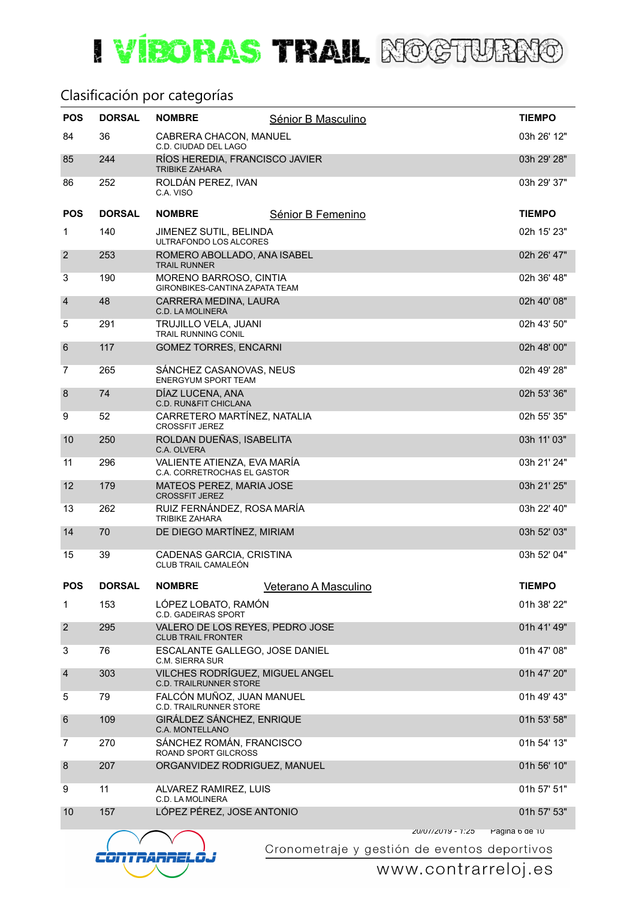#### Clasificación por categorías

| <b>POS</b>      | <b>DORSAL</b> | <b>NOMBRE</b>                                                    | Sénior B Masculino          |                   | <b>TIEMPO</b>         |
|-----------------|---------------|------------------------------------------------------------------|-----------------------------|-------------------|-----------------------|
| 84              | 36            | CABRERA CHACON, MANUEL<br>C.D. CIUDAD DEL LAGO                   |                             |                   | 03h 26' 12"           |
| 85              | 244           | RÍOS HEREDIA, FRANCISCO JAVIER<br><b>TRIBIKE ZAHARA</b>          |                             |                   | 03h 29' 28"           |
| 86              | 252           | ROLDÁN PEREZ, IVAN<br>C.A. VISO                                  |                             |                   | 03h 29' 37"           |
| <b>POS</b>      | <b>DORSAL</b> | <b>NOMBRE</b>                                                    | Sénior B Femenino           |                   | <b>TIEMPO</b>         |
| $\mathbf{1}$    | 140           | JIMENEZ SUTIL. BELINDA<br>ULTRAFONDO LOS ALCORES                 |                             |                   | 02h 15' 23"           |
| $\overline{2}$  | 253           | ROMERO ABOLLADO, ANA ISABEL<br><b>TRAIL RUNNER</b>               |                             |                   | 02h 26' 47"           |
| 3               | 190           | MORENO BARROSO, CINTIA<br>GIRONBIKES-CANTINA ZAPATA TEAM         |                             |                   | 02h 36' 48"           |
| $\overline{4}$  | 48            | CARRERA MEDINA, LAURA<br>C.D. LA MOLINERA                        |                             |                   | 02h 40' 08"           |
| 5               | 291           | TRUJILLO VELA, JUANI<br><b>TRAIL RUNNING CONIL</b>               |                             |                   | 02h 43' 50"           |
| $6\phantom{1}6$ | 117           | <b>GOMEZ TORRES, ENCARNI</b>                                     |                             |                   | 02h 48' 00"           |
| 7               | 265           | SÁNCHEZ CASANOVAS, NEUS<br>ENERGYUM SPORT TEAM                   |                             |                   | 02h 49' 28"           |
| 8               | 74            | DÍAZ LUCENA, ANA<br><b>C.D. RUN&amp;FIT CHICLANA</b>             |                             |                   | 02h 53' 36"           |
| 9               | 52            | CARRETERO MARTÍNEZ, NATALIA<br><b>CROSSFIT JEREZ</b>             |                             |                   | 02h 55' 35"           |
| 10              | 250           | ROLDAN DUEÑAS, ISABELITA<br>C.A. OLVERA                          |                             |                   | 03h 11' 03"           |
| 11              | 296           | VALIENTE ATIENZA, EVA MARÍA<br>C.A. CORRETROCHAS EL GASTOR       |                             |                   | 03h 21' 24"           |
| 12              | 179           | MATEOS PEREZ, MARIA JOSE<br><b>CROSSFIT JEREZ</b>                |                             |                   | 03h 21' 25"           |
| 13              | 262           | RUIZ FERNÁNDEZ, ROSA MARÍA<br><b>TRIBIKE ZAHARA</b>              |                             |                   | 03h 22' 40"           |
| 14              | 70            | DE DIEGO MARTÍNEZ, MIRIAM                                        |                             |                   | 03h 52' 03"           |
| 15              | 39            | CADENAS GARCIA, CRISTINA<br>CLUB TRAIL CAMALEÓN                  |                             |                   | 03h 52' 04"           |
| <b>POS</b>      | <b>DORSAL</b> | <b>NOMBRE</b>                                                    | <u>Veterano A Masculino</u> |                   | <b>TIEMPO</b>         |
| $\mathbf{1}$    | 153           | LÓPEZ LOBATO, RAMÓN<br><b>C.D. GADEIRAS SPORT</b>                |                             |                   | 01h 38' 22"           |
| $\overline{2}$  | 295           | VALERO DE LOS REYES, PEDRO JOSE<br><b>CLUB TRAIL FRONTER</b>     |                             |                   | 01h 41' 49"           |
| 3               | 76            | ESCALANTE GALLEGO, JOSE DANIEL<br>C.M. SIERRA SUR                |                             |                   | 01h 47' 08"           |
| $\overline{4}$  | 303           | VILCHES RODRÍGUEZ, MIGUEL ANGEL<br><b>C.D. TRAILRUNNER STORE</b> |                             |                   | 01h 47' 20"           |
| 5               | 79            | FALCÓN MUÑOZ, JUAN MANUEL<br><b>C.D. TRAILRUNNER STORE</b>       |                             |                   | 01h 49' 43"           |
| $6\phantom{1}6$ | 109           | GIRÁLDEZ SÁNCHEZ, ENRIQUE<br><b>C.A. MONTELLANO</b>              |                             |                   | 01h 53' 58"           |
| 7               | 270           | SÁNCHEZ ROMÁN, FRANCISCO<br>ROAND SPORT GILCROSS                 |                             |                   | 01h 54' 13"           |
| 8               | 207           | ORGANVIDEZ RODRIGUEZ, MANUEL                                     |                             |                   | 01h 56' 10"           |
| 9               | 11            | ALVAREZ RAMIREZ, LUIS<br>C.D. LA MOLINERA                        |                             |                   | 01h 57' 51"           |
| 10              | 157           | LÓPEZ PÉREZ, JOSE ANTONIO                                        |                             |                   | 01h 57' 53"           |
|                 |               |                                                                  |                             | ZU/U1/ZU19 - 1:Z5 | <b>Pagina b de 10</b> |



Cronometraje y gestión de eventos deportivos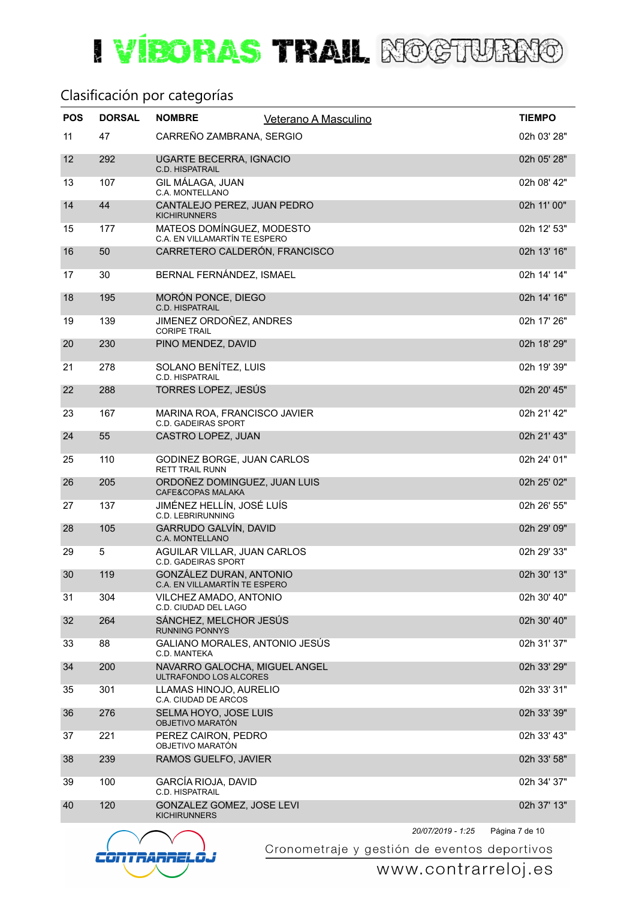#### Clasificación por categorías

| <b>POS</b> | <b>DORSAL</b> | <b>NOMBRE</b>                                              | Veterano A Masculino | <b>TIEMPO</b> |
|------------|---------------|------------------------------------------------------------|----------------------|---------------|
| 11         | 47            | CARREÑO ZAMBRANA, SERGIO                                   |                      | 02h 03' 28"   |
| 12         | 292           | <b>UGARTE BECERRA, IGNACIO</b><br>C.D. HISPATRAIL          |                      | 02h 05' 28"   |
| 13         | 107           | <b>GIL MÁLAGA, JUAN</b><br>C.A. MONTELLANO                 |                      | 02h 08' 42"   |
| 14         | 44            | CANTALEJO PEREZ, JUAN PEDRO<br><b>KICHIRUNNERS</b>         |                      | 02h 11' 00"   |
| 15         | 177           | MATEOS DOMÍNGUEZ, MODESTO<br>C.A. EN VILLAMARTÍN TE ESPERO |                      | 02h 12' 53"   |
| 16         | 50            | CARRETERO CALDERÓN, FRANCISCO                              |                      | 02h 13' 16"   |
| 17         | 30            | BERNAL FERNÁNDEZ, ISMAEL                                   |                      | 02h 14' 14"   |
| 18         | 195           | MORÓN PONCE, DIEGO<br><b>C.D. HISPATRAIL</b>               |                      | 02h 14' 16"   |
| 19         | 139           | JIMENEZ ORDOÑEZ, ANDRES<br><b>CORIPE TRAIL</b>             |                      | 02h 17' 26"   |
| 20         | 230           | PINO MENDEZ, DAVID                                         |                      | 02h 18' 29"   |
| 21         | 278           | SOLANO BENÍTEZ, LUIS<br><b>C.D. HISPATRAIL</b>             |                      | 02h 19' 39"   |
| 22         | 288           | TORRES LOPEZ, JESÚS                                        |                      | 02h 20' 45"   |
| 23         | 167           | MARINA ROA, FRANCISCO JAVIER<br><b>C.D. GADEIRAS SPORT</b> |                      | 02h 21' 42"   |
| 24         | 55            | CASTRO LOPEZ, JUAN                                         |                      | 02h 21' 43"   |
| 25         | 110           | GODINEZ BORGE, JUAN CARLOS<br><b>RETT TRAIL RUNN</b>       |                      | 02h 24' 01"   |
| 26         | 205           | ORDOÑEZ DOMINGUEZ, JUAN LUIS<br>CAFE&COPAS MALAKA          |                      | 02h 25' 02"   |
| 27         | 137           | JIMÉNEZ HELLÍN, JOSÉ LUÍS<br><b>C.D. LEBRIRUNNING</b>      |                      | 02h 26' 55"   |
| 28         | 105           | GARRUDO GALVÍN, DAVID<br><b>C.A. MONTELLANO</b>            |                      | 02h 29' 09"   |
| 29         | 5             | AGUILAR VILLAR, JUAN CARLOS<br><b>C.D. GADEIRAS SPORT</b>  |                      | 02h 29' 33"   |
| 30         | 119           | GONZÁLEZ DURAN, ANTONIO<br>C.A. EN VILLAMARTÍN TE ESPERO   |                      | 02h 30' 13"   |
| 31         | 304           | VILCHEZ AMADO, ANTONIO<br>C.D. CIUDAD DEL LAGO             |                      | 02h 30' 40"   |
| 32         | 264           | SÁNCHEZ, MELCHOR JESÚS<br><b>RUNNING PONNYS</b>            |                      | 02h 30' 40"   |
| 33         | 88            | GALIANO MORALES, ANTONIO JESÚS<br>C.D. MANTEKA             |                      | 02h 31' 37"   |
| 34         | 200           | NAVARRO GALOCHA, MIGUEL ANGEL<br>ULTRAFONDO LOS ALCORES    |                      | 02h 33' 29"   |
| 35         | 301           | LLAMAS HINOJO, AURELIO<br>C.A. CIUDAD DE ARCOS             |                      | 02h 33' 31"   |
| 36         | 276           | SELMA HOYO, JOSE LUIS<br>OBJETIVO MARATÓN                  |                      | 02h 33' 39"   |
| 37         | 221           | PEREZ CAIRON, PEDRO<br>OBJETIVO MARATÓN                    |                      | 02h 33' 43"   |
| 38         | 239           | RAMOS GUELFO, JAVIER                                       |                      | 02h 33' 58"   |
| 39         | 100           | <b>GARCÍA RIOJA, DAVID</b><br>C.D. HISPATRAIL              |                      | 02h 34' 37"   |
| 40         | 120           | GONZALEZ GOMEZ, JOSE LEVI<br><b>KICHIRUNNERS</b>           |                      | 02h 37' 13"   |
|            |               |                                                            |                      |               |



Página 7 de 10 *20/07/2019 - 1:25*

Cronometraje y gestión de eventos deportivos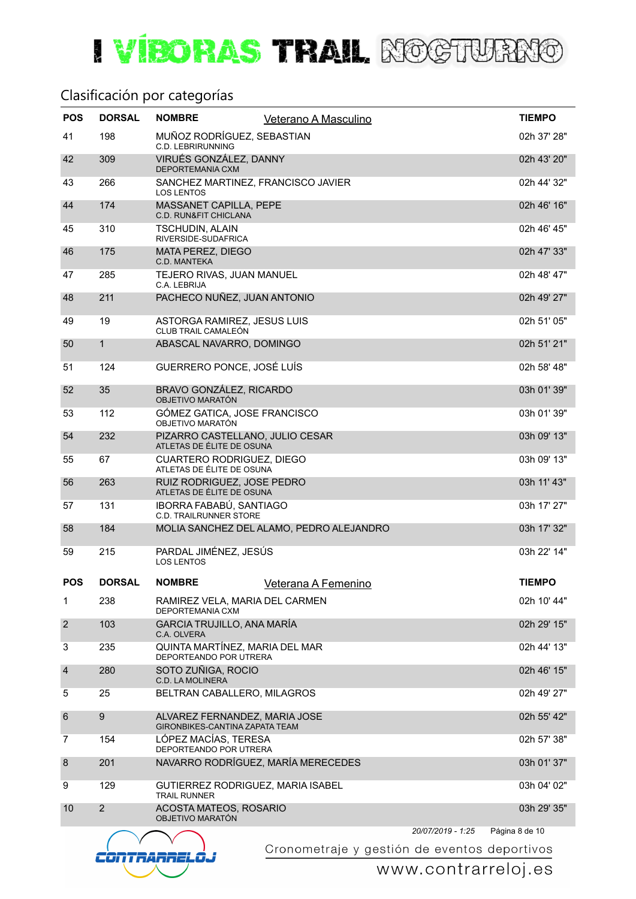#### Clasificación por categorías

| <b>POS</b>      | <b>DORSAL</b>  | <b>NOMBRE</b>                                                          | Veterano A Masculino                     |                   | <b>TIEMPO</b>  |
|-----------------|----------------|------------------------------------------------------------------------|------------------------------------------|-------------------|----------------|
| 41              | 198            | MUÑOZ RODRÍGUEZ, SEBASTIAN<br><b>C.D. LEBRIRUNNING</b>                 |                                          |                   | 02h 37' 28"    |
| 42              | 309            | VIRUÉS GONZÁLEZ, DANNY<br>DEPORTEMANIA CXM                             |                                          |                   | 02h 43' 20"    |
| 43              | 266            | SANCHEZ MARTINEZ, FRANCISCO JAVIER<br><b>LOS LENTOS</b>                |                                          |                   | 02h 44' 32"    |
| 44              | 174            | MASSANET CAPILLA, PEPE<br><b>C.D. RUN&amp;FIT CHICLANA</b>             |                                          |                   | 02h 46' 16"    |
| 45              | 310            | <b>TSCHUDIN, ALAIN</b><br>RIVERSIDE-SUDAFRICA                          |                                          |                   | 02h 46' 45"    |
| 46              | 175            | <b>MATA PEREZ, DIEGO</b><br>C.D. MANTEKA                               |                                          |                   | 02h 47' 33"    |
| 47              | 285            | TEJERO RIVAS, JUAN MANUEL<br>C.A. LEBRIJA                              |                                          |                   | 02h 48' 47"    |
| 48              | 211            | PACHECO NUÑEZ, JUAN ANTONIO                                            |                                          |                   | 02h 49' 27"    |
| 49              | 19             | ASTORGA RAMIREZ, JESUS LUIS<br>CLUB TRAIL CAMALEÓN                     |                                          |                   | 02h 51' 05"    |
| 50              | $\mathbf{1}$   | ABASCAL NAVARRO, DOMINGO                                               |                                          |                   | 02h 51' 21"    |
| 51              | 124            | GUERRERO PONCE, JOSÉ LUÍS                                              |                                          |                   | 02h 58' 48"    |
| 52              | 35             | BRAVO GONZÁLEZ, RICARDO<br>OBJETIVO MARATÓN                            |                                          |                   | 03h 01' 39"    |
| 53              | 112            | GÓMEZ GATICA, JOSE FRANCISCO<br>OBJETIVO MARATÓN                       |                                          |                   | 03h 01' 39"    |
| 54              | 232            | PIZARRO CASTELLANO, JULIO CESAR<br>ATLETAS DE ÉLITE DE OSUNA           |                                          |                   | 03h 09' 13"    |
| 55              | 67             | <b>CUARTERO RODRIGUEZ, DIEGO</b><br>ATLETAS DE ÉLITE DE OSUNA          |                                          |                   | 03h 09' 13"    |
| 56              | 263            | RUIZ RODRIGUEZ, JOSE PEDRO<br>ATLETAS DE ÉLITE DE OSUNA                |                                          |                   | 03h 11' 43"    |
| 57              | 131            | IBORRA FABABÚ, SANTIAGO<br><b>C.D. TRAILRUNNER STORE</b>               |                                          |                   | 03h 17' 27"    |
| 58              | 184            |                                                                        | MOLIA SANCHEZ DEL ALAMO, PEDRO ALEJANDRO |                   | 03h 17' 32"    |
| 59              | 215            | PARDAL JIMÉNEZ, JESÚS<br><b>LOS LENTOS</b>                             |                                          |                   | 03h 22' 14"    |
| <b>POS</b>      | <b>DORSAL</b>  | <b>NOMBRE</b>                                                          | Veterana A Femenino                      |                   | <b>TIEMPO</b>  |
| $\mathbf{1}$    | 238            | RAMIREZ VELA, MARIA DEL CARMEN<br>DEPORTEMANIA CXM                     |                                          |                   | 02h 10' 44"    |
| $\overline{2}$  | 103            | GARCIA TRUJILLO, ANA MARÍA<br>C.A. OLVERA                              |                                          |                   | 02h 29' 15"    |
| 3               | 235            | QUINTA MARTÍNEZ, MARIA DEL MAR<br>DEPORTEANDO POR UTRERA               |                                          |                   | 02h 44' 13"    |
| $\overline{4}$  | 280            | SOTO ZUÑIGA, ROCIO<br>C.D. LA MOLINERA                                 |                                          |                   | 02h 46' 15"    |
| 5               | 25             | BELTRAN CABALLERO, MILAGROS                                            |                                          |                   | 02h 49' 27"    |
| $6\phantom{1}6$ | 9              | ALVAREZ FERNANDEZ, MARIA JOSE<br><b>GIRONBIKES-CANTINA ZAPATA TEAM</b> |                                          |                   | 02h 55' 42"    |
| 7               | 154            | LÓPEZ MACÍAS, TERESA<br>DEPORTEANDO POR UTRERA                         |                                          |                   | 02h 57' 38"    |
| 8               | 201            | NAVARRO RODRÍGUEZ, MARÍA MERECEDES                                     |                                          |                   | 03h 01' 37"    |
| 9               | 129            | GUTIERREZ RODRIGUEZ, MARIA ISABEL<br><b>TRAIL RUNNER</b>               |                                          |                   | 03h 04' 02"    |
| 10              | $\overline{2}$ | ACOSTA MATEOS, ROSARIO<br>OBJETIVO MARATÓN                             |                                          |                   | 03h 29' 35"    |
|                 |                |                                                                        |                                          | 20/07/2019 - 1:25 | Página 8 de 10 |



Cronometraje y gestión de eventos deportivos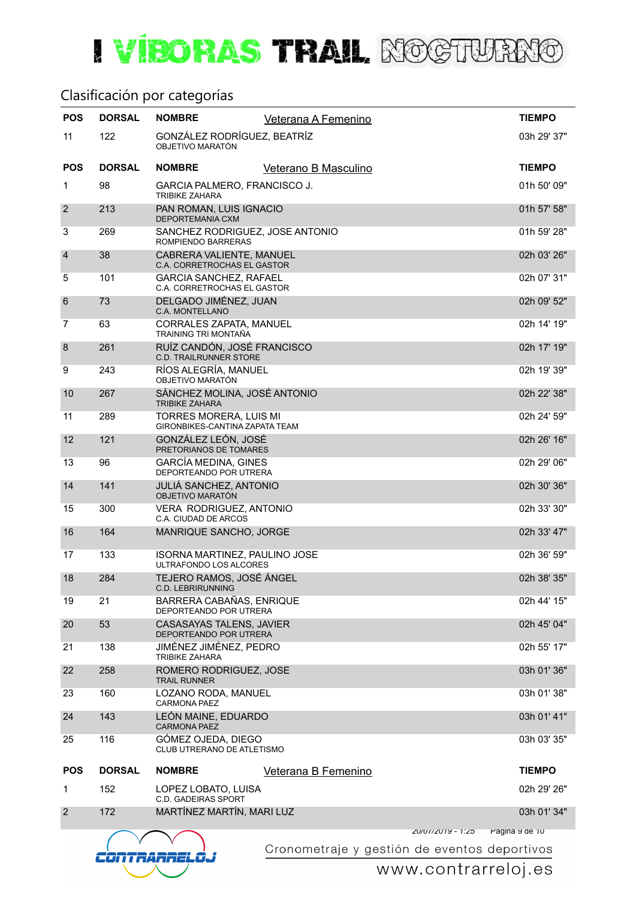#### Clasificación por categorías

| <b>POS</b>      | <b>DORSAL</b> | <b>NOMBRE</b>                                                | Veterana A Femenino  |                   | <b>TIEMPO</b>  |
|-----------------|---------------|--------------------------------------------------------------|----------------------|-------------------|----------------|
| 11              | 122           | GONZÁLEZ RODRÍGUEZ, BEATRÍZ<br>OBJETIVO MARATÓN              |                      |                   | 03h 29' 37"    |
| <b>POS</b>      | <b>DORSAL</b> | <b>NOMBRE</b>                                                | Veterano B Masculino |                   | <b>TIEMPO</b>  |
| 1               | 98            | GARCIA PALMERO, FRANCISCO J.<br><b>TRIBIKE ZAHARA</b>        |                      |                   | 01h 50' 09"    |
| $\overline{2}$  | 213           | PAN ROMAN, LUIS IGNACIO<br>DEPORTEMANIA CXM                  |                      |                   | 01h 57' 58"    |
| 3               | 269           | SANCHEZ RODRIGUEZ, JOSE ANTONIO<br>ROMPIENDO BARRERAS        |                      |                   | 01h 59' 28"    |
| $\overline{4}$  | 38            | CABRERA VALIENTE, MANUEL<br>C.A. CORRETROCHAS EL GASTOR      |                      |                   | 02h 03' 26"    |
| 5               | 101           | <b>GARCIA SANCHEZ, RAFAEL</b><br>C.A. CORRETROCHAS EL GASTOR |                      |                   | 02h 07' 31"    |
| $6\phantom{1}6$ | 73            | DELGADO JIMÉNEZ, JUAN<br>C.A. MONTELLANO                     |                      |                   | 02h 09' 52"    |
| $\overline{7}$  | 63            | CORRALES ZAPATA, MANUEL<br>TRAINING TRI MONTAÑA              |                      |                   | 02h 14' 19"    |
| 8               | 261           | RUÍZ CANDÓN, JOSÉ FRANCISCO<br><b>C.D. TRAILRUNNER STORE</b> |                      |                   | 02h 17' 19"    |
| 9               | 243           | RÍOS ALEGRÍA, MANUEL<br>OBJETIVO MARATÓN                     |                      |                   | 02h 19' 39"    |
| 10              | 267           | SÁNCHEZ MOLINA, JOSÉ ANTONIO<br><b>TRIBIKE ZAHARA</b>        |                      |                   | 02h 22' 38"    |
| 11              | 289           | TORRES MORERA, LUIS MI<br>GIRONBIKES-CANTINA ZAPATA TEAM     |                      |                   | 02h 24' 59"    |
| 12              | 121           | GONZÁLEZ LEÓN, JOSÉ<br>PRETORIANOS DE TOMARES                |                      |                   | 02h 26' 16"    |
| 13              | 96            | <b>GARCÍA MEDINA, GINES</b><br>DEPORTEANDO POR UTRERA        |                      |                   | 02h 29' 06"    |
| 14              | 141           | <b>JULIÁ SANCHEZ, ANTONIO</b><br>OBJETIVO MARATÓN            |                      |                   | 02h 30' 36"    |
| 15              | 300           | VERA RODRIGUEZ, ANTONIO<br>C.A. CIUDAD DE ARCOS              |                      |                   | 02h 33' 30"    |
| 16              | 164           | MANRIQUE SANCHO, JORGE                                       |                      |                   | 02h 33' 47"    |
| 17              | 133           | ISORNA MARTINEZ, PAULINO JOSE<br>ULTRAFONDO LOS ALCORES      |                      |                   | 02h 36' 59"    |
| 18              | 284           | TEJERO RAMOS, JOSÉ ÁNGEL<br>C.D. LEBRIRUNNING                |                      |                   | 02h 38' 35"    |
| 19              | 21            | BARRERA CABAÑAS, ENRIQUE<br>DEPORTEANDO POR UTRERA           |                      |                   | 02h 44' 15"    |
| 20              | 53            | CASASAYAS TALENS, JAVIER<br>DEPORTEANDO POR UTRERA           |                      |                   | 02h 45' 04"    |
| 21              | 138           | JIMÉNEZ JIMÉNEZ, PEDRO<br><b>TRIBIKE ZAHARA</b>              |                      |                   | 02h 55' 17"    |
| 22              | 258           | ROMERO RODRIGUEZ, JOSE<br><b>TRAIL RUNNER</b>                |                      |                   | 03h 01' 36"    |
| 23              | 160           | LOZANO RODA, MANUEL<br><b>CARMONA PAEZ</b>                   |                      |                   | 03h 01' 38"    |
| 24              | 143           | LEÓN MAINE, EDUARDO<br><b>CARMONA PAEZ</b>                   |                      |                   | 03h 01' 41"    |
| 25              | 116           | GÓMEZ OJEDA, DIEGO<br>CLUB UTRERANO DE ATLETISMO             |                      |                   | 03h 03' 35"    |
| <b>POS</b>      | <b>DORSAL</b> | <b>NOMBRE</b>                                                | Veterana B Femenino  |                   | <b>TIEMPO</b>  |
| $\mathbf 1$     | 152           | LOPEZ LOBATO, LUISA<br><b>C.D. GADEIRAS SPORT</b>            |                      |                   | 02h 29' 26"    |
| $\overline{2}$  | 172           | MARTÍNEZ MARTÍN, MARI LUZ                                    |                      |                   | 03h 01' 34"    |
|                 |               |                                                              |                      | ZU/U1/ZU19 - 1:Z5 | ragina y de 10 |



Cronometraje y gestión de eventos deportivos